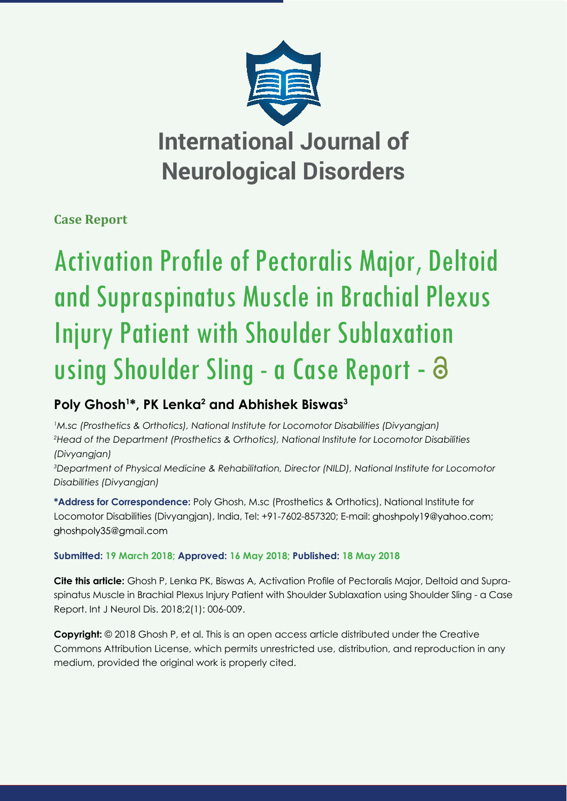

**Case Report**

# Activation Profile of Pectoralis Major, Deltoid and Supraspinatus Muscle in Brachial Plexus Injury Patient with Shoulder Sublaxation using Shoulder Sling - a Case Report - 8

# **Poly Ghosh1 \*, PK Lenka2 and Abhishek Biswas3**

*1 M.sc (Prosthetics & Orthotics), National Institute for Locomotor Disabilities (Divyangjan) 2 Head of the Department (Prosthetics & Orthotics), National Institute for Locomotor Disabilities (Divyangjan)*

*3 Department of Physical Medicine & Rehabilitation, Director (NILD), National Institute for Locomotor Disabilities (Divyangjan)*

**\*Address for Correspondence:** Poly Ghosh, M.sc (Prosthetics & Orthotics), National Institute for Locomotor Disabilities (Divyangjan), India, Tel: +91-7602-857320; E-mail: ghoshpoly19@yahoo.com; ghoshpoly35@gmail.com

# **Submitted: 19 March 2018; Approved: 16 May 2018; Published: 18 May 2018**

**Cite this article:** Ghosh P, Lenka PK, Biswas A, Activation Profile of Pectoralis Major, Deltoid and Supraspinatus Muscle in Brachial Plexus Injury Patient with Shoulder Sublaxation using Shoulder Sling - a Case Report. Int J Neurol Dis. 2018;2(1): 006-009.

**Copyright:** © 2018 Ghosh P, et al. This is an open access article distributed under the Creative Commons Attribution License, which permits unrestricted use, distribution, and reproduction in any medium, provided the original work is properly cited.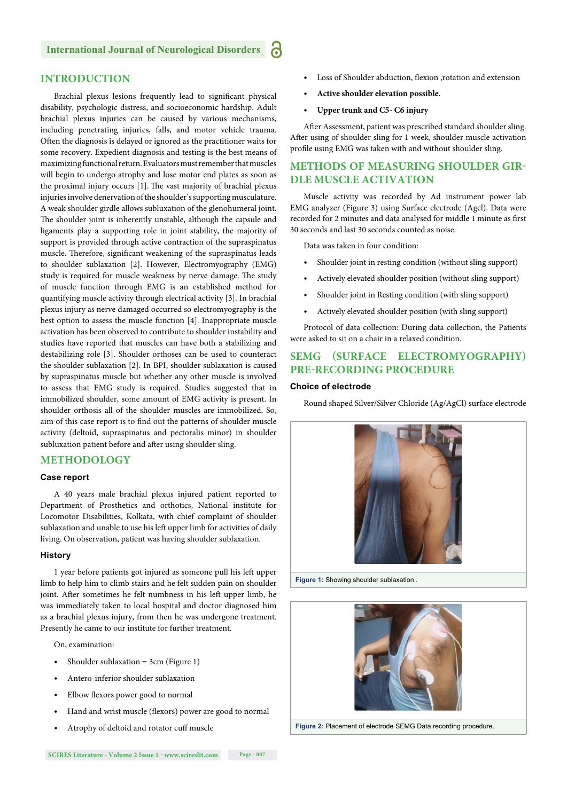# **International Journal of Neurological Disorders**

# **INTRODUCTION**

Brachial plexus lesions frequently lead to significant physical disability, psychologic distress, and socioeconomic hardship. Adult brachial plexus injuries can be caused by various mechanisms, including penetrating injuries, falls, and motor vehicle trauma. Often the diagnosis is delayed or ignored as the practitioner waits for some recovery. Expedient diagnosis and testing is the best means of maximizing functional return. Evaluators must remember that muscles will begin to undergo atrophy and lose motor end plates as soon as the proximal injury occurs [1]. The vast majority of brachial plexus injuries involve denervation of the shoulder's supporting musculature. A weak shoulder girdle allows subluxation of the glenohumeral joint. The shoulder joint is inherently unstable, although the capsule and ligaments play a supporting role in joint stability, the majority of support is provided through active contraction of the supraspinatus muscle. Therefore, significant weakening of the supraspinatus leads to shoulder sublaxation [2]. However, Electromyography (EMG) study is required for muscle weakness by nerve damage. The study of muscle function through EMG is an established method for quantifying muscle activity through electrical activity [3]. In brachial plexus injury as nerve damaged occurred so electromyography is the best option to assess the muscle function [4]. Inappropriate muscle activation has been observed to contribute to shoulder instability and studies have reported that muscles can have both a stabilizing and destabilizing role [3]. Shoulder orthoses can be used to counteract the shoulder sublaxation [2]. In BPI, shoulder sublaxation is caused by supraspinatus muscle but whether any other muscle is involved to assess that EMG study is required. Studies suggested that in immobilized shoulder, some amount of EMG activity is present. In shoulder orthosis all of the shoulder muscles are immobilized. So, aim of this case report is to find out the patterns of shoulder muscle activity (deltoid, supraspinatus and pectoralis minor) in shoulder subluxation patient before and after using shoulder sling.

# **METHODOLOGY**

#### **Case report**

A 40 years male brachial plexus injured patient reported to Department of Prosthetics and orthotics, National institute for Locomotor Disabilities, Kolkata, with chief complaint of shoulder sublaxation and unable to use his left upper limb for activities of daily living. On observation, patient was having shoulder sublaxation.

#### **History**

1 year before patients got injured as someone pull his left upper limb to help him to climb stairs and he felt sudden pain on shoulder joint. After sometimes he felt numbness in his left upper limb, he was immediately taken to local hospital and doctor diagnosed him as a brachial plexus injury, from then he was undergone treatment. Presently he came to our institute for further treatment.

On, examination:

- Shoulder sublaxation =  $3cm$  (Figure 1)
- Antero-inferior shoulder sublaxation
- Elbow flexors power good to normal
- Hand and wrist muscle (flexors) power are good to normal
- Atrophy of deltoid and rotator cuff muscle
- Loss of Shoulder abduction, flexion ,rotation and extension
- **Active shoulder elevation possible.**
- **Upper trunk and C5- C6 injury**

After Assessment, patient was prescribed standard shoulder sling. After using of shoulder sling for 1 week, shoulder muscle activation profile using EMG was taken with and without shoulder sling.

# **METHODS OF MEASURING SHOULDER GIR-DLE MUSCLE ACTIVATION**

Muscle activity was recorded by Ad instrument power lab EMG analyzer (Figure 3) using Surface electrode (Agcl). Data were recorded for 2 minutes and data analysed for middle 1 minute as first 30 seconds and last 30 seconds counted as noise.

Data was taken in four condition:

- Shoulder joint in resting condition (without sling support)
- Actively elevated shoulder position (without sling support)
- Shoulder joint in Resting condition (with sling support)
- Actively elevated shoulder position (with sling support)

Protocol of data collection: During data collection, the Patients were asked to sit on a chair in a relaxed condition.

# **SEMG (SURFACE ELECTROMYOGRAPHY) PRE-RECORDING PROCEDURE**

#### **Choice of electrode**

Round shaped Silver/Silver Chloride (Ag/AgCl) surface electrode



**Figure 1:** Showing shoulder sublaxation .



**Figure 2:** Placement of electrode SEMG Data recording procedure.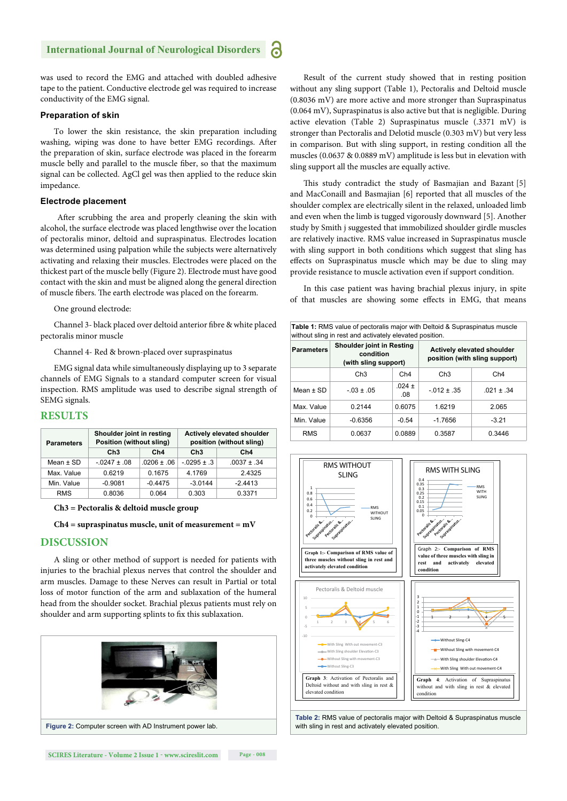# **International Journal of Neurological Disorders**

was used to record the EMG and attached with doubled adhesive tape to the patient. Conductive electrode gel was required to increase conductivity of the EMG signal.

#### **Preparation of skin**

To lower the skin resistance, the skin preparation including washing, wiping was done to have better EMG recordings. After the preparation of skin, surface electrode was placed in the forearm muscle belly and parallel to the muscle fiber, so that the maximum signal can be collected. AgCl gel was then applied to the reduce skin impedance.

#### **Electrode placement**

After scrubbing the area and properly cleaning the skin with alcohol, the surface electrode was placed lengthwise over the location of pectoralis minor, deltoid and supraspinatus. Electrodes location was determined using palpation while the subjects were alternatively activating and relaxing their muscles. Electrodes were placed on the thickest part of the muscle belly (Figure 2). Electrode must have good contact with the skin and must be aligned along the general direction of muscle fibers. The earth electrode was placed on the forearm.

#### One ground electrode:

Channel 3- black placed over deltoid anterior fibre & white placed pectoralis minor muscle

#### Channel 4- Red & brown-placed over supraspinatus

EMG signal data while simultaneously displaying up to 3 separate channels of EMG Signals to a standard computer screen for visual inspection. RMS amplitude was used to describe signal strength of SEMG signals.

# **RESULTS**

|  | <b>Parameters</b> | Shoulder joint in resting<br>Position (without sling) |                 | Actively elevated shoulder<br>position (without sling) |                 |
|--|-------------------|-------------------------------------------------------|-----------------|--------------------------------------------------------|-----------------|
|  |                   | Ch3                                                   | Ch4             | Ch3                                                    | Ch4             |
|  | Mean $\pm$ SD     | $-0.0247 \pm 0.08$                                    | $.0206 \pm .06$ | $-0295 \pm 0.3$                                        | $.0037 \pm .34$ |
|  | Max. Value        | 0.6219                                                | 0.1675          | 4.1769                                                 | 2.4325          |
|  | Min. Value        | $-0.9081$                                             | $-0.4475$       | $-3.0144$                                              | $-2.4413$       |
|  | <b>RMS</b>        | 0.8036                                                | 0.064           | 0.303                                                  | 0.3371          |

#### **Ch3 = Pectoralis & deltoid muscle group**

#### **Ch4 = supraspinatus muscle, unit of measurement = mV**

#### **DISCUSSION**

A sling or other method of support is needed for patients with injuries to the brachial plexus nerves that control the shoulder and arm muscles. Damage to these Nerves can result in Partial or total loss of motor function of the arm and sublaxation of the humeral head from the shoulder socket. Brachial plexus patients must rely on shoulder and arm supporting splints to fix this sublaxation.



Result of the current study showed that in resting position without any sling support (Table 1), Pectoralis and Deltoid muscle (0.8036 mV) are more active and more stronger than Supraspinatus (0.064 mV), Supraspinatus is also active but that is negligible. During active elevation (Table 2) Supraspinatus muscle (.3371 mV) is stronger than Pectoralis and Delotid muscle (0.303 mV) but very less in comparison. But with sling support, in resting condition all the muscles (0.0637 & 0.0889 mV) amplitude is less but in elevation with sling support all the muscles are equally active.

This study contradict the study of Basmajian and Bazant [5] and MacConaill and Basmajian [6] reported that all muscles of the shoulder complex are electrically silent in the relaxed, unloaded limb and even when the limb is tugged vigorously downward [5]. Another study by Smith j suggested that immobilized shoulder girdle muscles are relatively inactive. RMS value increased in Supraspinatus muscle with sling support in both conditions which suggest that sling has effects on Supraspinatus muscle which may be due to sling may provide resistance to muscle activation even if support condition.

In this case patient was having brachial plexus injury, in spite of that muscles are showing some effects in EMG, that means

| <b>Table 1:</b> RMS value of pectoralis major with Deltoid & Supraspinatus muscle<br>without sling in rest and activately elevated position. |                                                                       |                   |                                                             |                |  |  |
|----------------------------------------------------------------------------------------------------------------------------------------------|-----------------------------------------------------------------------|-------------------|-------------------------------------------------------------|----------------|--|--|
| <b>Parameters</b>                                                                                                                            | <b>Shoulder joint in Resting</b><br>condition<br>(with sling support) |                   | Actively elevated shoulder<br>position (with sling support) |                |  |  |
|                                                                                                                                              | Ch3                                                                   | Ch4               | Ch3                                                         | Ch4            |  |  |
| Mean $\pm$ SD                                                                                                                                | $-0.03 \pm 0.05$                                                      | $.024 \pm$<br>.08 | $-012 \pm 0.35$                                             | $.021 \pm .34$ |  |  |
| Max. Value                                                                                                                                   | 0.2144                                                                | 0.6075            | 1.6219                                                      | 2.065          |  |  |
| Min. Value                                                                                                                                   | $-0.6356$                                                             | $-0.54$           | $-1.7656$                                                   | $-3.21$        |  |  |
| <b>RMS</b>                                                                                                                                   | 0.0637                                                                | 0.0889            | 0.3587                                                      | 0.3446         |  |  |